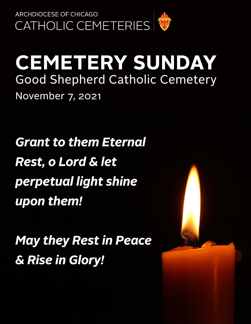

# **CEMETERY SUNDAY Good Shepherd Catholic Cemetery** November 7, 2021

**Grant to them Eternal Rest, o Lord & let** perpetual light shine upon them!

**May they Rest in Peace** & Rise in Glory!

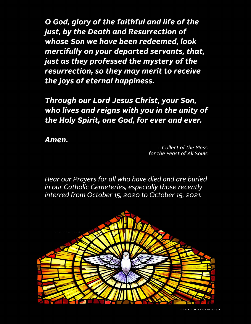O God, glory of the faithful and life of the just, by the Death and Resurrection of whose Son we have been redeemed, look mercifully on your departed servants, that, just as they professed the mystery of the resurrection, so they may merit to receive the joys of eternal happiness.

Through our Lord Jesus Christ, your Son, who lives and reigns with you in the unity of the Holy Spirit, one God, for ever and ever.

Amen.

- Collect of the Mass for the Feast of All Souls

Hear our Prayers for all who have died and are buried in our Catholic Cemeteries, especially those recently interred from October 15, 2020 to October 15, 2021.

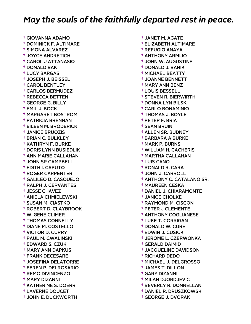† GIOVANNA ADAMO † DOMINICK F. ALTIMARE † SIMONA ALVAREZ † JOYCE ANDRETICH † CAROL J ATTANASIO † DONALD BAK † LUCY BARGAS † JOSEPH J. BEISSEL † CAROL BENTLEY † CARLOS BERMUDEZ † REBECCA BETTEN † GEORGE G. BILLY † EMIL J. BOCK † MARGARET BOSTROM † PATRICIA BRENNAN † EILEEN M. BRODERICK † JANICE BRUOZIS † BRIAN C. BULKLEY † KATHRYN F. BURKE † DORIS LYNN BUSIEDLIK † ANN MARIE CALLAHAN † JOHN SR CAMPBELL † EDITH I. CAPUTO † ROGER CARPENTER † GALILEO D. CASQUEJO † RALPH J. CERVANTES † JESSE CHAVEZ † ANIELA CHMIELEWSKI † SUSAN M. CIASTKO † ROBERT D. CLAYBROOK † W. GENE CLIMER † THOMAS CONNELLY † DIANE M. COSTELLO † VICTOR D. CURRY † PAUL M. CWALINSKI † EDWARD S. CZUK † MARY ANN DAPKUS † FRANK DECESARE † JOSEFINA DELATORRE † EFREN P. DELROSARIO † REMO DIVINCENZO † MARY DIZANNI † KATHERINE S. DOERR † LAVERNE DOUCET † JOHN E. DUCKWORTH

 † JANET M. AGATE † ELIZABETH ALTIMARE † REFUGIO ANAYA † ANTHONY ARMIJO † JOHN W. AUGUSTINE † DONALD J. BANIK † MICHAEL BEATTY † JOANNE BENNETT † MARY ANN BENZ † LOUIS BESSELL † STEVEN R. BIERWIRTH † DONNA LYN BILSKI † CARLO BONAMINIO † THOMAS J. BOYLE † PETER F. BRIA † SEAN BRUIN † ALLEN SR. BUDNEY † BARBARA A BURKE † MARK P. BURNS † WILLIAM H. CACHERIS † MARTHA CALLAHAN † LUIS CANO † RONALD R. CARA † JOHN J. CARROLL † ANTHONY C. CATALANO SR. † MAUREEN CESKA † DANIEL J. CHIARAMONTE † JANICE CHOLKE † RAYMOND M. CISCON † PETER J CLEMENTE † ANTHONY COGLIANESE † LUKE T. CORRIGAN † DONALD W. CURE † EDWIN J. CUSICK † JEROME L. CZERWONKA † GERALD DAIMID † JACQUELINE DAVIDSON † RICHARD DEDO † MICHAEL J. DELGROSSO † JAMES T. DILLON † GARY DIZANNI † MILAN DJORDJEVIC † BEVERLY R. DONNELLAN † DANIEL R. DRUSZKOWSKI

† GEORGE J. DVORAK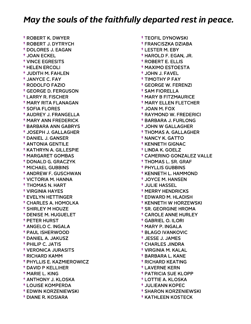† ROBERT K. DWYER † ROBERT J. DYTRYCH † DOLORES J. EAGAN † JOAN ECKEL † VINCE EGRESITS † HELEN ERCOLI † JUDITH M. FAHLEN † JANYCE C. FAY † RODOLFO FAZIO † GEORGE D. FERGUSON † LARRY R. FISCHER † MARY RITA FLANAGAN † SOFIA FLORES † AUDREY J. FRANGELLA † MARY ANN FREDERICK † BARBARA ANN GABRYS † JOSEPH J. GALLAGHER † DANIEL J. GANSER † ANTONIA GENTILE † KATHRYN A. GILLESPIE † MARGARET GOMBAS † DONALD G. GRACZYK † MICHAEL GUBBINS † ANDREW F. GUSCHWAN † VICTORIA M. HANNA † THOMAS N. HART † VIRGINIA HAYES † EVELYN HETTINGER † CHARLES A. HOMOLKA † SHIRLEY M HOUZE † DENISE M. HUGUELET † PETER HURST † ANGELO C. INGALA † PAUL ISHERWOOD † DANIEL A. JAKUSZ † PHILIP C. JATIS † VERONICA JURASITS † RICHARD KAMM † PHYLLIS E. KAZMIEROWICZ † DAVID P KELLIHER † MARIE L. KING † ANTHONY J. KLOSKA † LOUISE KOMPERDA † EDWIN KORZENIEWSKI † DIANE R. KOSIARA

 † TEOFIL DYNOWSKI † FRANCISZKA DZIABA † LESTER M. EBY † HAROLD F. EGAN, JR. † ROBERT E. ELLIS † MAXIMO ESTOESTA † JOHN J. FAVEL † TIMOTHY P FAY † GEORGE W. FERENZI † SAM FIORELLA † MARY B FITZMAURICE † MARY ELLEN FLETCHER † JOAN M. FOX † RAYMOND W. FREDERICI † BARBARA J. FURLONG † JOHN W GALLAGHER † THOMAS A. GALLAGHER † NANCY K. GATTO † KENNETH GIGNAC † LINDA K. GOELZ † CAMERINO GONZALEZ VALLE † THOMAS L. SR. GRAF † PHYLLIS GUBBINS † KENNETH L. HAMMOND † JOYCE M. HANSEN † JULIE HASSEL † MERRY HENDRICKS † EDWARD M. HLADISH † KENNETH W HORZEWSKI † SR. GEORGINE HROMA † CAROLE ANNE HURLEY † GABRIEL O. ILORI † MARY P. INGALA † BLAGO IVANKOVIC † JESSE J. JAMES † CHARLES JINDRA † VIRGINIA M. KALAL † BARBARA L. KANE † RICHARD KEATING † LAVERNE KERN † PATRICIA SUE KLOPP † LOTTIE A. KLOSKA † JULIEANN KOPEC † SHARON KORZENIEWSKI

† KATHLEEN KOSTECK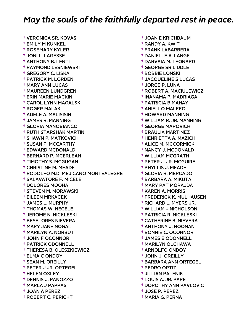† VERONICA SR. KOVAS † EMILY M KUNKEL † ROSEMARY KYLER † JONI L. LAGESSE † ANTHONY B. LENTI † RAYMOND LESNIEWSKI † GREGORY C. LISKA † PATRICK M. LORDEN † MARY ANN LUCAS † MAUREEN LUNDGREN † ERIN MARIE MACKIN † CAROL LYNN MAGALSKI † ROGER MALAK † ADELE A. MALISISIN † JAMES R. MANNING † GLORIA MANOBIANCO † RUTH STARSHAK MARTIN † SHAWN P. MATKOVICH † SUSAN P. MCCARTHY † EDWARD MCDONALD † BERNARD P. MCERLEAN † TIMOTHY S. MCGUGAN † CHRISTINE M. MEADE † RODOLFO M.D. MEJICANO MONTEALEGRE † SALAVATORE F. MICELE † DOLORES MOOHA † STEVEN M. MORAWSKI † EILEEN MRKACEK † JAMES L. MURPHY † THOMAS W. NEGELE † JEROME N. NICKLESKI † BESFLORES NIEVERA † MARY JANE NOGAL † MARILYN A. NORBUT † JOHN F OCONNOR † PATRICK ODONNELL † THERESA B. OLESZKIEWICZ † ELMA C ONDOY † SEAN M. OREILLY † PETER J JR. ORTEGEL † HELEN OXLEY † DENNIS J. PANOZZO † MARLA J PAPPAS † JOAN A PEREZ † ROBERT C. PERICHT

 † JOAN E KRICHBAUM † RANDY A. KWIT † FRANK LABARBERA † DANIELLE A. LANGE † DARVAIA M. LEONARD † GEORGE SR LIDDLE † BOBBIE LONSKI † JACQUELINE S LUCAS † JORGE P. LUNA † ROBERT A. MACIULEWICZ † INANAMA P. MADRIAGA † PATRICIA B MAHAY † ANIELLO MALFEO † HOWARD MANNING † WILLIAM R. JR. MANNING † GEORGE MAROVICH † BRAULIA MARTINEZ † HENRIETTA A. MAZICH † ALICE M. MCCORMICK † NANCY J. MCDONALD † WILLIAM MCGRATH † PETER J. JR. MCGUIRE † PHYLLIS J. MEADE † GLORIA R. MERCADO † BARBARA A. MIKUTA † MARY PAT MORAJDA † KAREN A. MORRIS † FREDERICK K. MULHAUSEN † RICHARD L. MYERS JR. † WILLIAM J NICHOLSON † PATRICIA R. NICKLESKI † CATHERINE B. NIEVERA † ANTHONY J. NOONAN † BONNIE C. OCONNOR † JAMES E ODONNELL † MARILYN OLCHAWA † ARNOLFO ONDOY † JOHN J. OREILLY † BARBARA ANN ORTEGEL † PEDRO ORTIZ † JILLIAN PALENIK † LOUIS A. JR. PAPE † DOROTHY ANN PAVLOVIC

- † JOSE P. PEREZ
- † MARIA G. PERNA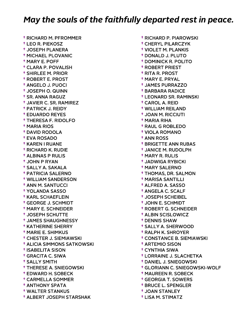† RICHARD M. PFROMMER † LEO R. PIEKOSZ † JOSEPH PLANERA † MICHAEL PLOVANIC † MARY E. POFF † CLARA P. POVALISH † SHIRLEE M. PRIOR † ROBERT E. PROST † ANGELO J. PUOCI † JOSEPH O. QUINN † SR. ANNA RAGUZ † JAVIER C. SR. RAMIREZ † PATRICK J. REIDY † EDUARDO REYES † THERESA F. RIDOLFO † MARIA RIOS † DAVID RODOLA † EVA ROSADO † KAREN I RUANE † RICHARD K. RUDIE † ALBINAS P RULIS † JOHN P RYAN † SALLY A. SAKALA † PATRICIA SALERNO † WILLIAM SANDERSON † ANN M. SANTUCCI † YOLANDA SASSO † KARL SCHAEFLEIN † GEORGE J. SCHMIDT † MARY E. SCHNEIDER † JOSEPH SCHUTTE † JAMES SHAUGHNESSY † KATHERINE SHERRY † MARIE E. SHIMKUS † CHESTER J. SIEMIAWSKI † ALICIA SIMMONS SATKOWSKI † ISABELITA SISON † GRACITA C. SIWA † SALLY SMITH † THERESE A. SNIEGOWSKI † EDWARD H. SOBECK † CARMELLA SOMMER † ANTHONY SPATA † WALTER STANKUS † ALBERT JOSEPH STARSHAK

 † RICHARD P. PIAROWSKI † CHERYL PILARCZYK † VIOLET M. PLANKIS † DONALD J. PLUTO † DOMINICK R. POLITO † ROBERT PRIEST † RITA R. PROST † MARY E. PRYAL † JAMES PURRAZZO † BARBARA RADICE † LEONARD SR. RAMINSKI † CAROL A. REID † WILLIAM REILAND † JOAN M. RICCIUTI † MARIA RIHA † RAUL G ROBLEDO † VIOLA ROMANO † ANN ROSS † BRIGETTE ANN RUBAS † JANICE M. RUDOLPH † MARY R. RULIS † JADWIGA RYBICKI † MARY SALERNO † THOMAS, DR. SALMON † MARISA SANTILLI † ALFRED A. SASSO † ANGELA C. SCALF † JOSEPH SCHEIBEL † JOHN E. SCHMIDT † ROBERT G. SCHNEIDER † ALBIN SCISLOWICZ † DENNIS SHAW † SALLY A. SHERWOOD † RALPH K. SHROYER † CONSTANCE B. SIEMIAWSKI † ARTEMIO SISON † CYNTHIA SIWA † LORRAINE J. SLACHETKA † DANIEL J. SNIEGOWSKI † GLORIANN C. SNIEGOWSKI-WOLF † MAUREEN R. SOBECK † GEORGIA T. SOWERS † BRUCE L. SPENGLER † JOAN STANLEY

† LISA M. STIMATZ